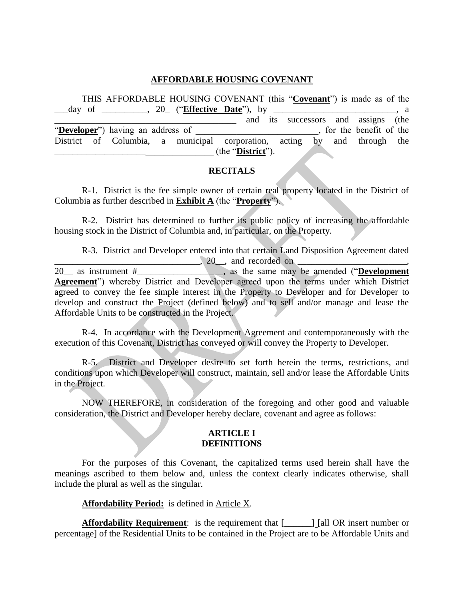#### **AFFORDABLE HOUSING COVENANT**

THIS AFFORDABLE HOUSING COVENANT (this "**Covenant**") is made as of the \_\_\_day of \_\_\_\_\_\_\_\_\_\_, 20\_ ("**Effective Date**"), by \_\_\_\_\_\_\_\_\_\_\_\_\_\_\_\_\_\_\_\_\_\_\_\_\_\_\_, a and its successors and assigns (the "Developer") having an address of  $\blacksquare$ , for the benefit of the District of Columbia, a municipal corporation, acting by and through the \_\_\_\_\_\_\_\_\_\_\_\_\_\_\_\_\_\_\_\_\_\_\_\_\_\_\_\_\_\_\_\_\_\_\_ (the "**District**").

#### **RECITALS**

R-1. District is the fee simple owner of certain real property located in the District of Columbia as further described in **Exhibit A** (the "**Property**").

R-2. District has determined to further its public policy of increasing the affordable housing stock in the District of Columbia and, in particular, on the Property.

R-3. District and Developer entered into that certain Land Disposition Agreement dated  $\frac{20}{20}$  as instrument  $\#$   $\frac{20}{100}$ , and recorded on  $\frac{1}{20}$  as the same may 20<sub>1</sub>, as the same may be amended ("**Development Agreement**") whereby District and Developer agreed upon the terms under which District agreed to convey the fee simple interest in the Property to Developer and for Developer to develop and construct the Project (defined below) and to sell and/or manage and lease the Affordable Units to be constructed in the Project.

R-4. In accordance with the Development Agreement and contemporaneously with the execution of this Covenant, District has conveyed or will convey the Property to Developer.

R-5. District and Developer desire to set forth herein the terms, restrictions, and conditions upon which Developer will construct, maintain, sell and/or lease the Affordable Units in the Project.

NOW THEREFORE, in consideration of the foregoing and other good and valuable consideration, the District and Developer hereby declare, covenant and agree as follows:

#### **ARTICLE I DEFINITIONS**

For the purposes of this Covenant, the capitalized terms used herein shall have the meanings ascribed to them below and, unless the context clearly indicates otherwise, shall include the plural as well as the singular.

**Affordability Period:** is defined in Article X.

**Affordability Requirement:** is the requirement that  $\begin{bmatrix} \begin{bmatrix} 1 \end{bmatrix}$  [all OR insert number or percentage] of the Residential Units to be contained in the Project are to be Affordable Units and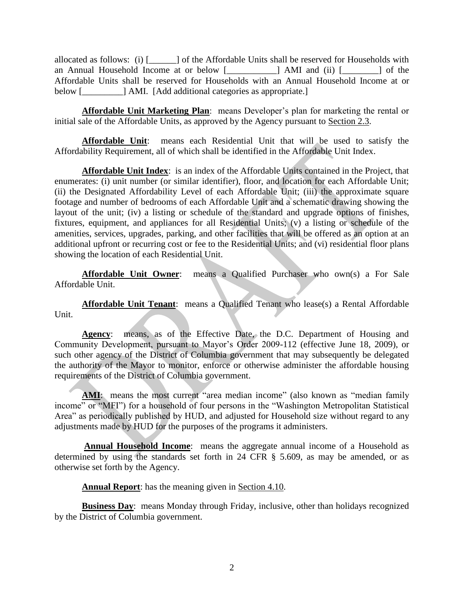allocated as follows: (i) [\_\_\_\_\_\_] of the Affordable Units shall be reserved for Households with an Annual Household Income at or below [\_\_\_\_\_\_\_\_\_\_\_] AMI and (ii) [\_\_\_\_\_\_\_\_] of the Affordable Units shall be reserved for Households with an Annual Household Income at or below [\_\_\_\_\_\_\_\_\_\_\_] AMI. [Add additional categories as appropriate.]

**Affordable Unit Marketing Plan**: means Developer's plan for marketing the rental or initial sale of the Affordable Units, as approved by the Agency pursuant to Section 2.3.

**Affordable Unit**: means each Residential Unit that will be used to satisfy the Affordability Requirement, all of which shall be identified in the Affordable Unit Index.

**Affordable Unit Index**: is an index of the Affordable Units contained in the Project, that enumerates: (i) unit number (or similar identifier), floor, and location for each Affordable Unit; (ii) the Designated Affordability Level of each Affordable Unit; (iii) the approximate square footage and number of bedrooms of each Affordable Unit and a schematic drawing showing the layout of the unit; (iv) a listing or schedule of the standard and upgrade options of finishes, fixtures, equipment, and appliances for all Residential Units; (v) a listing or schedule of the amenities, services, upgrades, parking, and other facilities that will be offered as an option at an additional upfront or recurring cost or fee to the Residential Units; and (vi) residential floor plans showing the location of each Residential Unit.

**Affordable Unit Owner**: means a Qualified Purchaser who own(s) a For Sale Affordable Unit.

**Affordable Unit Tenant**: means a Qualified Tenant who lease(s) a Rental Affordable Unit.

**Agency**: means, as of the Effective Date, the D.C. Department of Housing and Community Development, pursuant to Mayor's Order 2009-112 (effective June 18, 2009), or such other agency of the District of Columbia government that may subsequently be delegated the authority of the Mayor to monitor, enforce or otherwise administer the affordable housing requirements of the District of Columbia government.

AMI: means the most current "area median income" (also known as "median family income" or "MFI") for a household of four persons in the "Washington Metropolitan Statistical Area" as periodically published by HUD, and adjusted for Household size without regard to any adjustments made by HUD for the purposes of the programs it administers.

**Annual Household Income**: means the aggregate annual income of a Household as determined by using the standards set forth in 24 CFR § 5.609, as may be amended, or as otherwise set forth by the Agency.

**Annual Report**: has the meaning given in Section 4.10.

**Business Day**: means Monday through Friday, inclusive, other than holidays recognized by the District of Columbia government.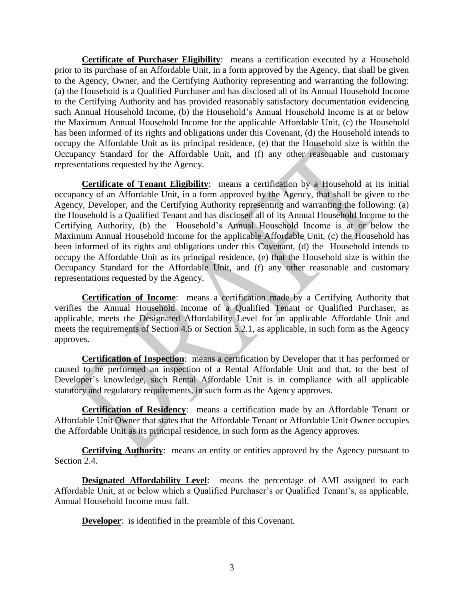**Certificate of Purchaser Eligibility**: means a certification executed by a Household prior to its purchase of an Affordable Unit, in a form approved by the Agency, that shall be given to the Agency, Owner, and the Certifying Authority representing and warranting the following: (a) the Household is a Qualified Purchaser and has disclosed all of its Annual Household Income to the Certifying Authority and has provided reasonably satisfactory documentation evidencing such Annual Household Income, (b) the Household's Annual Household Income is at or below the Maximum Annual Household Income for the applicable Affordable Unit, (c) the Household has been informed of its rights and obligations under this Covenant, (d) the Household intends to occupy the Affordable Unit as its principal residence, (e) that the Household size is within the Occupancy Standard for the Affordable Unit, and (f) any other reasonable and customary representations requested by the Agency.

**Certificate of Tenant Eligibility**: means a certification by a Household at its initial occupancy of an Affordable Unit, in a form approved by the Agency, that shall be given to the Agency, Developer, and the Certifying Authority representing and warranting the following: (a) the Household is a Qualified Tenant and has disclosed all of its Annual Household Income to the Certifying Authority, (b) the Household's Annual Household Income is at or below the Maximum Annual Household Income for the applicable Affordable Unit, (c) the Household has been informed of its rights and obligations under this Covenant, (d) the Household intends to occupy the Affordable Unit as its principal residence, (e) that the Household size is within the Occupancy Standard for the Affordable Unit, and (f) any other reasonable and customary representations requested by the Agency.

**Certification of Income**: means a certification made by a Certifying Authority that verifies the Annual Household Income of a Qualified Tenant or Qualified Purchaser, as applicable, meets the Designated Affordability Level for an applicable Affordable Unit and meets the requirements of Section 4.5 or Section 5.2.1, as applicable, in such form as the Agency approves.

**Certification of Inspection**: means a certification by Developer that it has performed or caused to be performed an inspection of a Rental Affordable Unit and that, to the best of Developer's knowledge, such Rental Affordable Unit is in compliance with all applicable statutory and regulatory requirements, in such form as the Agency approves.

**Certification of Residency**: means a certification made by an Affordable Tenant or Affordable Unit Owner that states that the Affordable Tenant or Affordable Unit Owner occupies the Affordable Unit as its principal residence, in such form as the Agency approves.

**Certifying Authority**: means an entity or entities approved by the Agency pursuant to Section 2.4.

**Designated Affordability Level**: means the percentage of AMI assigned to each Affordable Unit, at or below which a Qualified Purchaser's or Qualified Tenant's, as applicable, Annual Household Income must fall.

**Developer:** is identified in the preamble of this Covenant.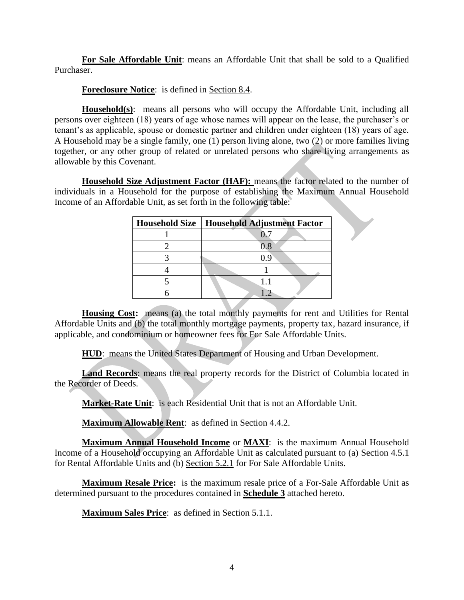**For Sale Affordable Unit**: means an Affordable Unit that shall be sold to a Qualified Purchaser.

**Foreclosure Notice**: is defined in Section 8.4.

**Household(s)**: means all persons who will occupy the Affordable Unit, including all persons over eighteen (18) years of age whose names will appear on the lease, the purchaser's or tenant's as applicable, spouse or domestic partner and children under eighteen (18) years of age. A Household may be a single family, one (1) person living alone, two (2) or more families living together, or any other group of related or unrelated persons who share living arrangements as allowable by this Covenant.

**Household Size Adjustment Factor (HAF):** means the factor related to the number of individuals in a Household for the purpose of establishing the Maximum Annual Household Income of an Affordable Unit, as set forth in the following table:

| <b>Household Size</b> | <b>Household Adjustment Factor</b> |
|-----------------------|------------------------------------|
|                       |                                    |
|                       | $\rm 0.8$                          |
|                       | () Q                               |
|                       |                                    |
|                       |                                    |
|                       |                                    |

**Housing Cost:** means (a) the total monthly payments for rent and Utilities for Rental Affordable Units and (b) the total monthly mortgage payments, property tax, hazard insurance, if applicable, and condominium or homeowner fees for For Sale Affordable Units.

**HUD**: means the United States Department of Housing and Urban Development.

**Land Records**: means the real property records for the District of Columbia located in the Recorder of Deeds.

**Market-Rate Unit**: is each Residential Unit that is not an Affordable Unit.

**Maximum Allowable Rent:** as defined in Section 4.4.2.

**Maximum Annual Household Income** or **MAXI**: is the maximum Annual Household Income of a Household occupying an Affordable Unit as calculated pursuant to (a) Section 4.5.1 for Rental Affordable Units and (b) Section 5.2.1 for For Sale Affordable Units.

**Maximum Resale Price:** is the maximum resale price of a For-Sale Affordable Unit as determined pursuant to the procedures contained in **Schedule 3** attached hereto.

**Maximum Sales Price**: as defined in Section 5.1.1.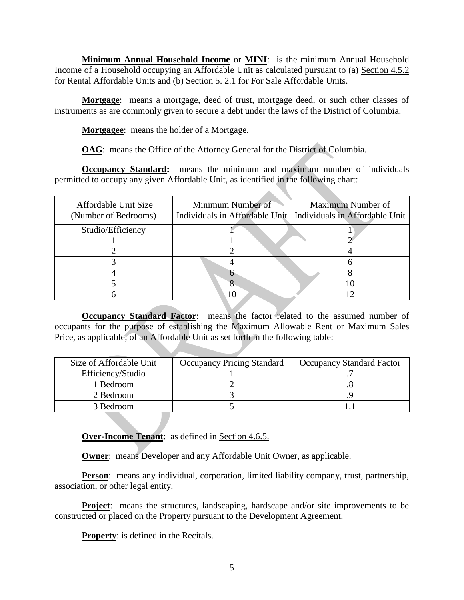**Minimum Annual Household Income** or **MINI**: is the minimum Annual Household Income of a Household occupying an Affordable Unit as calculated pursuant to (a) Section 4.5.2 for Rental Affordable Units and (b) Section 5. 2.1 for For Sale Affordable Units.

**Mortgage**: means a mortgage, deed of trust, mortgage deed, or such other classes of instruments as are commonly given to secure a debt under the laws of the District of Columbia.

**Mortgagee**: means the holder of a Mortgage.

**OAG**: means the Office of the Attorney General for the District of Columbia.

**Occupancy Standard:** means the minimum and maximum number of individuals permitted to occupy any given Affordable Unit, as identified in the following chart:

| Affordable Unit Size<br>(Number of Bedrooms) | Minimum Number of | Maximum Number of<br>Individuals in Affordable Unit   Individuals in Affordable Unit |
|----------------------------------------------|-------------------|--------------------------------------------------------------------------------------|
| Studio/Efficiency                            |                   |                                                                                      |
|                                              |                   |                                                                                      |
|                                              |                   |                                                                                      |
|                                              |                   |                                                                                      |
|                                              |                   |                                                                                      |
|                                              |                   |                                                                                      |
|                                              |                   |                                                                                      |

**Occupancy Standard Factor:** means the factor related to the assumed number of occupants for the purpose of establishing the Maximum Allowable Rent or Maximum Sales Price, as applicable, of an Affordable Unit as set forth in the following table:

| Size of Affordable Unit | <b>Occupancy Pricing Standard</b> | <b>Occupancy Standard Factor</b> |
|-------------------------|-----------------------------------|----------------------------------|
| Efficiency/Studio       |                                   |                                  |
| l Bedroom               |                                   |                                  |
| 2 Bedroom               |                                   |                                  |
| 3 Bedroom               |                                   |                                  |

**Over-Income Tenant**: as defined in Section 4.6.5.

**Owner:** means Developer and any Affordable Unit Owner, as applicable.

**Person**: means any individual, corporation, limited liability company, trust, partnership, association, or other legal entity.

**Project**: means the structures, landscaping, hardscape and/or site improvements to be constructed or placed on the Property pursuant to the Development Agreement.

**Property**: is defined in the Recitals.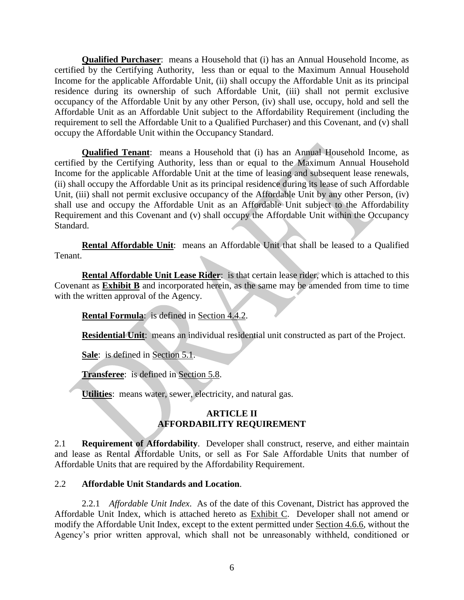**Qualified Purchaser**: means a Household that (i) has an Annual Household Income, as certified by the Certifying Authority, less than or equal to the Maximum Annual Household Income for the applicable Affordable Unit, (ii) shall occupy the Affordable Unit as its principal residence during its ownership of such Affordable Unit, (iii) shall not permit exclusive occupancy of the Affordable Unit by any other Person, (iv) shall use, occupy, hold and sell the Affordable Unit as an Affordable Unit subject to the Affordability Requirement (including the requirement to sell the Affordable Unit to a Qualified Purchaser) and this Covenant, and (v) shall occupy the Affordable Unit within the Occupancy Standard.

**Qualified Tenant**: means a Household that (i) has an Annual Household Income, as certified by the Certifying Authority, less than or equal to the Maximum Annual Household Income for the applicable Affordable Unit at the time of leasing and subsequent lease renewals, (ii) shall occupy the Affordable Unit as its principal residence during its lease of such Affordable Unit, (iii) shall not permit exclusive occupancy of the Affordable Unit by any other Person, (iv) shall use and occupy the Affordable Unit as an Affordable Unit subject to the Affordability Requirement and this Covenant and (v) shall occupy the Affordable Unit within the Occupancy Standard.

**Rental Affordable Unit**: means an Affordable Unit that shall be leased to a Qualified Tenant.

**Rental Affordable Unit Lease Rider**: is that certain lease rider, which is attached to this Covenant as **Exhibit B** and incorporated herein, as the same may be amended from time to time with the written approval of the Agency.

**Rental Formula**: is defined in Section 4.4.2.

**Residential Unit**: means an individual residential unit constructed as part of the Project.

**Sale**: is defined in Section 5.1.

**Transferee**: is defined in Section 5.8.

**Utilities**: means water, sewer, electricity, and natural gas.

## **ARTICLE II AFFORDABILITY REQUIREMENT**

2.1 **Requirement of Affordability**. Developer shall construct, reserve, and either maintain and lease as Rental Affordable Units, or sell as For Sale Affordable Units that number of Affordable Units that are required by the Affordability Requirement.

## 2.2 **Affordable Unit Standards and Location**.

2.2.1 *Affordable Unit Index*. As of the date of this Covenant, District has approved the Affordable Unit Index, which is attached hereto as Exhibit C. Developer shall not amend or modify the Affordable Unit Index, except to the extent permitted under Section 4.6.6, without the Agency's prior written approval, which shall not be unreasonably withheld, conditioned or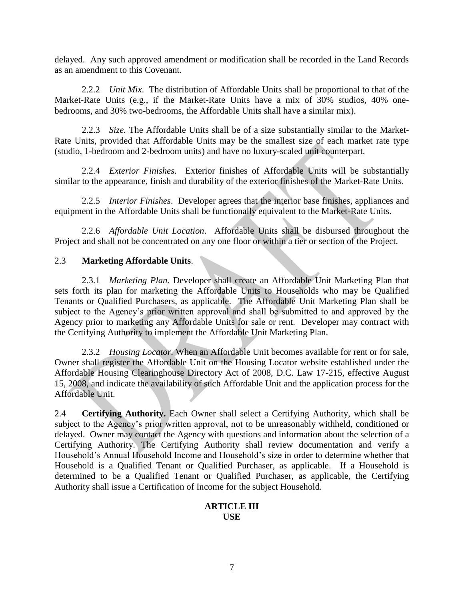delayed. Any such approved amendment or modification shall be recorded in the Land Records as an amendment to this Covenant.

2.2.2 *Unit Mix*. The distribution of Affordable Units shall be proportional to that of the Market-Rate Units (e.g., if the Market-Rate Units have a mix of 30% studios, 40% onebedrooms, and 30% two-bedrooms, the Affordable Units shall have a similar mix).

2.2.3 *Size.* The Affordable Units shall be of a size substantially similar to the Market-Rate Units, provided that Affordable Units may be the smallest size of each market rate type (studio, 1-bedroom and 2-bedroom units) and have no luxury-scaled unit counterpart.

2.2.4 *Exterior Finishes*. Exterior finishes of Affordable Units will be substantially similar to the appearance, finish and durability of the exterior finishes of the Market-Rate Units.

2.2.5 *Interior Finishes*. Developer agrees that the interior base finishes, appliances and equipment in the Affordable Units shall be functionally equivalent to the Market-Rate Units.

2.2.6 *Affordable Unit Location*.Affordable Units shall be disbursed throughout the Project and shall not be concentrated on any one floor or within a tier or section of the Project.

#### 2.3 **Marketing Affordable Units**.

2.3.1 *Marketing Plan.* Developer shall create an Affordable Unit Marketing Plan that sets forth its plan for marketing the Affordable Units to Households who may be Qualified Tenants or Qualified Purchasers, as applicable. The Affordable Unit Marketing Plan shall be subject to the Agency's prior written approval and shall be submitted to and approved by the Agency prior to marketing any Affordable Units for sale or rent. Developer may contract with the Certifying Authority to implement the Affordable Unit Marketing Plan.

2.3.2 *Housing Locator.* When an Affordable Unit becomes available for rent or for sale, Owner shall register the Affordable Unit on the Housing Locator website established under the Affordable Housing Clearinghouse Directory Act of 2008, D.C. Law 17-215, effective August 15, 2008, and indicate the availability of such Affordable Unit and the application process for the Affordable Unit.

2.4 **Certifying Authority.** Each Owner shall select a Certifying Authority, which shall be subject to the Agency's prior written approval, not to be unreasonably withheld, conditioned or delayed. Owner may contact the Agency with questions and information about the selection of a Certifying Authority. The Certifying Authority shall review documentation and verify a Household's Annual Household Income and Household's size in order to determine whether that Household is a Qualified Tenant or Qualified Purchaser, as applicable. If a Household is determined to be a Qualified Tenant or Qualified Purchaser, as applicable, the Certifying Authority shall issue a Certification of Income for the subject Household.

#### **ARTICLE III USE**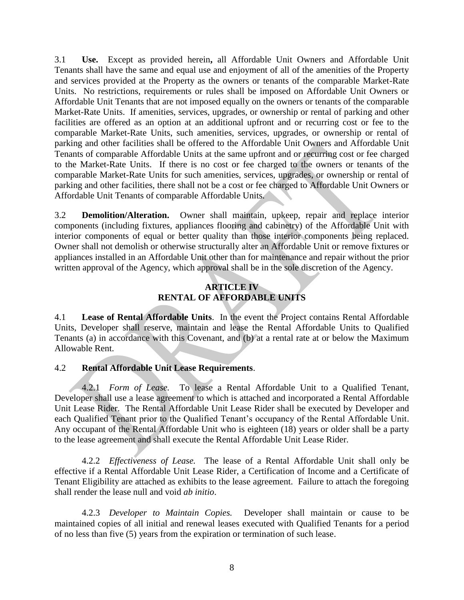3.1 **Use.** Except as provided herein**,** all Affordable Unit Owners and Affordable Unit Tenants shall have the same and equal use and enjoyment of all of the amenities of the Property and services provided at the Property as the owners or tenants of the comparable Market-Rate Units. No restrictions, requirements or rules shall be imposed on Affordable Unit Owners or Affordable Unit Tenants that are not imposed equally on the owners or tenants of the comparable Market-Rate Units. If amenities, services, upgrades, or ownership or rental of parking and other facilities are offered as an option at an additional upfront and or recurring cost or fee to the comparable Market-Rate Units, such amenities, services, upgrades, or ownership or rental of parking and other facilities shall be offered to the Affordable Unit Owners and Affordable Unit Tenants of comparable Affordable Units at the same upfront and or recurring cost or fee charged to the Market-Rate Units. If there is no cost or fee charged to the owners or tenants of the comparable Market-Rate Units for such amenities, services, upgrades, or ownership or rental of parking and other facilities, there shall not be a cost or fee charged to Affordable Unit Owners or Affordable Unit Tenants of comparable Affordable Units.

3.2 **Demolition/Alteration.** Owner shall maintain, upkeep, repair and replace interior components (including fixtures, appliances flooring and cabinetry) of the Affordable Unit with interior components of equal or better quality than those interior components being replaced. Owner shall not demolish or otherwise structurally alter an Affordable Unit or remove fixtures or appliances installed in an Affordable Unit other than for maintenance and repair without the prior written approval of the Agency, which approval shall be in the sole discretion of the Agency.

## **ARTICLE IV RENTAL OF AFFORDABLE UNITS**

4.1 **Lease of Rental Affordable Units**. In the event the Project contains Rental Affordable Units, Developer shall reserve, maintain and lease the Rental Affordable Units to Qualified Tenants (a) in accordance with this Covenant, and (b) at a rental rate at or below the Maximum Allowable Rent.

## 4.2 **Rental Affordable Unit Lease Requirements**.

4.2.1 *Form of Lease.* To lease a Rental Affordable Unit to a Qualified Tenant, Developer shall use a lease agreement to which is attached and incorporated a Rental Affordable Unit Lease Rider. The Rental Affordable Unit Lease Rider shall be executed by Developer and each Qualified Tenant prior to the Qualified Tenant's occupancy of the Rental Affordable Unit. Any occupant of the Rental Affordable Unit who is eighteen (18) years or older shall be a party to the lease agreement and shall execute the Rental Affordable Unit Lease Rider.

4.2.2 *Effectiveness of Lease.* The lease of a Rental Affordable Unit shall only be effective if a Rental Affordable Unit Lease Rider, a Certification of Income and a Certificate of Tenant Eligibility are attached as exhibits to the lease agreement. Failure to attach the foregoing shall render the lease null and void *ab initio*.

4.2.3 *Developer to Maintain Copies.* Developer shall maintain or cause to be maintained copies of all initial and renewal leases executed with Qualified Tenants for a period of no less than five (5) years from the expiration or termination of such lease.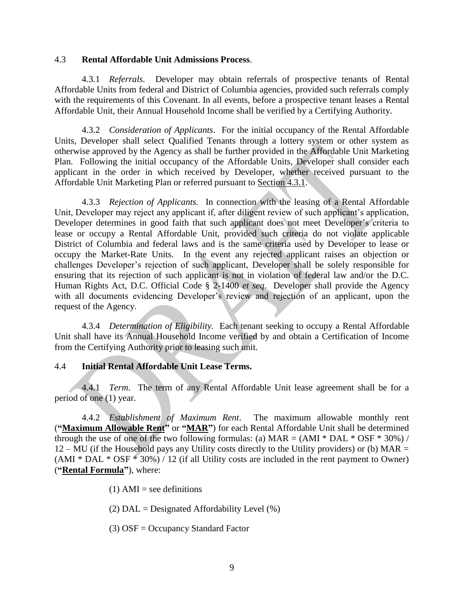#### 4.3 **Rental Affordable Unit Admissions Process**.

4.3.1 *Referrals.* Developer may obtain referrals of prospective tenants of Rental Affordable Units from federal and District of Columbia agencies, provided such referrals comply with the requirements of this Covenant. In all events, before a prospective tenant leases a Rental Affordable Unit, their Annual Household Income shall be verified by a Certifying Authority.

4.3.2 *Consideration of Applicants*. For the initial occupancy of the Rental Affordable Units, Developer shall select Qualified Tenants through a lottery system or other system as otherwise approved by the Agency as shall be further provided in the Affordable Unit Marketing Plan. Following the initial occupancy of the Affordable Units, Developer shall consider each applicant in the order in which received by Developer, whether received pursuant to the Affordable Unit Marketing Plan or referred pursuant to Section 4.3.1.

4.3.3 *Rejection of Applicants.* In connection with the leasing of a Rental Affordable Unit, Developer may reject any applicant if, after diligent review of such applicant's application, Developer determines in good faith that such applicant does not meet Developer's criteria to lease or occupy a Rental Affordable Unit, provided such criteria do not violate applicable District of Columbia and federal laws and is the same criteria used by Developer to lease or occupy the Market-Rate Units. In the event any rejected applicant raises an objection or challenges Developer's rejection of such applicant, Developer shall be solely responsible for ensuring that its rejection of such applicant is not in violation of federal law and/or the D.C. Human Rights Act, D.C. Official Code § 2-1400 *et seq*. Developer shall provide the Agency with all documents evidencing Developer's review and rejection of an applicant, upon the request of the Agency.

4.3.4 *Determination of Eligibility.* Each tenant seeking to occupy a Rental Affordable Unit shall have its Annual Household Income verified by and obtain a Certification of Income from the Certifying Authority prior to leasing such unit.

#### 4.4 **Initial Rental Affordable Unit Lease Terms.**

4.4.1 *Term*. The term of any Rental Affordable Unit lease agreement shall be for a period of one (1) year.

4.4.2 *Establishment of Maximum Rent*. The maximum allowable monthly rent (**"Maximum Allowable Rent"** or **"MAR"**) for each Rental Affordable Unit shall be determined through the use of one of the two following formulas: (a)  $MAR = (AMI * DAL * OSF * 30%) /$  $12 - MU$  (if the Household pays any Utility costs directly to the Utility providers) or (b) MAR =  $(AMI * DAL * OSF * 30%) / 12$  (if all Utility costs are included in the rent payment to Owner) (**"Rental Formula"**), where:

- $(1)$  AMI = see definitions
- (2)  $DAL = Designated Affordability Level (%)$
- (3) OSF = Occupancy Standard Factor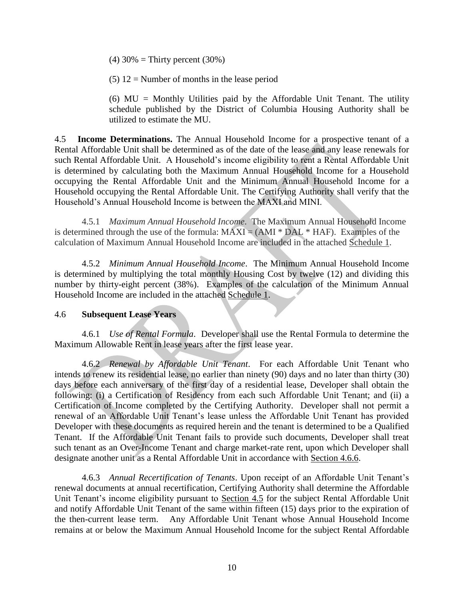(4)  $30\% =$  Thirty percent (30%)

 $(5)$  12 = Number of months in the lease period

(6)  $MU = Monthly$  Utilities paid by the Affordable Unit Tenant. The utility schedule published by the District of Columbia Housing Authority shall be utilized to estimate the MU.

4.5 **Income Determinations.** The Annual Household Income for a prospective tenant of a Rental Affordable Unit shall be determined as of the date of the lease and any lease renewals for such Rental Affordable Unit. A Household's income eligibility to rent a Rental Affordable Unit is determined by calculating both the Maximum Annual Household Income for a Household occupying the Rental Affordable Unit and the Minimum Annual Household Income for a Household occupying the Rental Affordable Unit. The Certifying Authority shall verify that the Household's Annual Household Income is between the MAXI and MINI.

4.5.1 *Maximum Annual Household Income*. The Maximum Annual Household Income is determined through the use of the formula:  $MAXI = (AMI * DAL * HAF)$ . Examples of the calculation of Maximum Annual Household Income are included in the attached Schedule 1.

4.5.2 *Minimum Annual Household Income*. The Minimum Annual Household Income is determined by multiplying the total monthly Housing Cost by twelve (12) and dividing this number by thirty-eight percent (38%). Examples of the calculation of the Minimum Annual Household Income are included in the attached Schedule 1.

#### 4.6 **Subsequent Lease Years**

4.6.1 *Use of Rental Formula*. Developer shall use the Rental Formula to determine the Maximum Allowable Rent in lease years after the first lease year.

4.6.2 *Renewal by Affordable Unit Tenant*. For each Affordable Unit Tenant who intends to renew its residential lease, no earlier than ninety (90) days and no later than thirty (30) days before each anniversary of the first day of a residential lease, Developer shall obtain the following: (i) a Certification of Residency from each such Affordable Unit Tenant; and (ii) a Certification of Income completed by the Certifying Authority. Developer shall not permit a renewal of an Affordable Unit Tenant's lease unless the Affordable Unit Tenant has provided Developer with these documents as required herein and the tenant is determined to be a Qualified Tenant. If the Affordable Unit Tenant fails to provide such documents, Developer shall treat such tenant as an Over-Income Tenant and charge market-rate rent, upon which Developer shall designate another unit as a Rental Affordable Unit in accordance with Section 4.6.6.

4.6.3 *Annual Recertification of Tenants*. Upon receipt of an Affordable Unit Tenant's renewal documents at annual recertification, Certifying Authority shall determine the Affordable Unit Tenant's income eligibility pursuant to Section 4.5 for the subject Rental Affordable Unit and notify Affordable Unit Tenant of the same within fifteen (15) days prior to the expiration of the then-current lease term. Any Affordable Unit Tenant whose Annual Household Income remains at or below the Maximum Annual Household Income for the subject Rental Affordable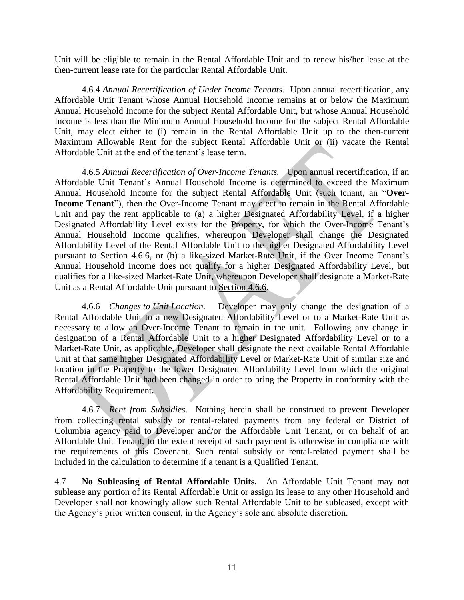Unit will be eligible to remain in the Rental Affordable Unit and to renew his/her lease at the then-current lease rate for the particular Rental Affordable Unit.

4.6.4 *Annual Recertification of Under Income Tenants.* Upon annual recertification, any Affordable Unit Tenant whose Annual Household Income remains at or below the Maximum Annual Household Income for the subject Rental Affordable Unit, but whose Annual Household Income is less than the Minimum Annual Household Income for the subject Rental Affordable Unit, may elect either to (i) remain in the Rental Affordable Unit up to the then-current Maximum Allowable Rent for the subject Rental Affordable Unit or (ii) vacate the Rental Affordable Unit at the end of the tenant's lease term.

4.6.5 *Annual Recertification of Over-Income Tenants.* Upon annual recertification, if an Affordable Unit Tenant's Annual Household Income is determined to exceed the Maximum Annual Household Income for the subject Rental Affordable Unit (such tenant, an "**Over-Income Tenant**"), then the Over-Income Tenant may elect to remain in the Rental Affordable Unit and pay the rent applicable to (a) a higher Designated Affordability Level, if a higher Designated Affordability Level exists for the Property, for which the Over-Income Tenant's Annual Household Income qualifies, whereupon Developer shall change the Designated Affordability Level of the Rental Affordable Unit to the higher Designated Affordability Level pursuant to Section 4.6.6, or (b) a like-sized Market-Rate Unit, if the Over Income Tenant's Annual Household Income does not qualify for a higher Designated Affordability Level, but qualifies for a like-sized Market-Rate Unit, whereupon Developer shall designate a Market-Rate Unit as a Rental Affordable Unit pursuant to Section 4.6.6.

4.6.6 *Changes to Unit Location.* Developer may only change the designation of a Rental Affordable Unit to a new Designated Affordability Level or to a Market-Rate Unit as necessary to allow an Over-Income Tenant to remain in the unit. Following any change in designation of a Rental Affordable Unit to a higher Designated Affordability Level or to a Market-Rate Unit, as applicable, Developer shall designate the next available Rental Affordable Unit at that same higher Designated Affordability Level or Market-Rate Unit of similar size and location in the Property to the lower Designated Affordability Level from which the original Rental Affordable Unit had been changed in order to bring the Property in conformity with the Affordability Requirement.

4.6.7 *Rent from Subsidies*. Nothing herein shall be construed to prevent Developer from collecting rental subsidy or rental-related payments from any federal or District of Columbia agency paid to Developer and/or the Affordable Unit Tenant, or on behalf of an Affordable Unit Tenant, to the extent receipt of such payment is otherwise in compliance with the requirements of this Covenant. Such rental subsidy or rental-related payment shall be included in the calculation to determine if a tenant is a Qualified Tenant.

4.7 **No Subleasing of Rental Affordable Units.** An Affordable Unit Tenant may not sublease any portion of its Rental Affordable Unit or assign its lease to any other Household and Developer shall not knowingly allow such Rental Affordable Unit to be subleased, except with the Agency's prior written consent, in the Agency's sole and absolute discretion.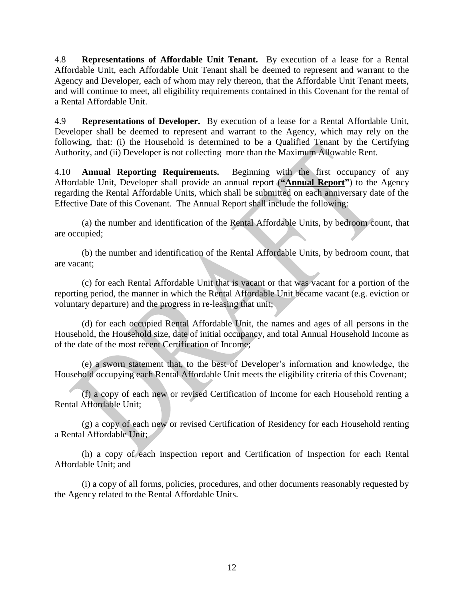4.8 **Representations of Affordable Unit Tenant.** By execution of a lease for a Rental Affordable Unit, each Affordable Unit Tenant shall be deemed to represent and warrant to the Agency and Developer, each of whom may rely thereon, that the Affordable Unit Tenant meets, and will continue to meet, all eligibility requirements contained in this Covenant for the rental of a Rental Affordable Unit.

4.9 **Representations of Developer.** By execution of a lease for a Rental Affordable Unit, Developer shall be deemed to represent and warrant to the Agency, which may rely on the following, that: (i) the Household is determined to be a Qualified Tenant by the Certifying Authority, and (ii) Developer is not collecting more than the Maximum Allowable Rent.

4.10 **Annual Reporting Requirements.** Beginning with the first occupancy of any Affordable Unit, Developer shall provide an annual report (**"Annual Report"**) to the Agency regarding the Rental Affordable Units, which shall be submitted on each anniversary date of the Effective Date of this Covenant. The Annual Report shall include the following:

(a) the number and identification of the Rental Affordable Units, by bedroom count, that are occupied;

(b) the number and identification of the Rental Affordable Units, by bedroom count, that are vacant;

(c) for each Rental Affordable Unit that is vacant or that was vacant for a portion of the reporting period, the manner in which the Rental Affordable Unit became vacant (e.g. eviction or voluntary departure) and the progress in re-leasing that unit;

(d) for each occupied Rental Affordable Unit, the names and ages of all persons in the Household, the Household size, date of initial occupancy, and total Annual Household Income as of the date of the most recent Certification of Income;

(e) a sworn statement that, to the best of Developer's information and knowledge, the Household occupying each Rental Affordable Unit meets the eligibility criteria of this Covenant;

(f) a copy of each new or revised Certification of Income for each Household renting a Rental Affordable Unit;

(g) a copy of each new or revised Certification of Residency for each Household renting a Rental Affordable Unit;

(h) a copy of each inspection report and Certification of Inspection for each Rental Affordable Unit; and

(i) a copy of all forms, policies, procedures, and other documents reasonably requested by the Agency related to the Rental Affordable Units.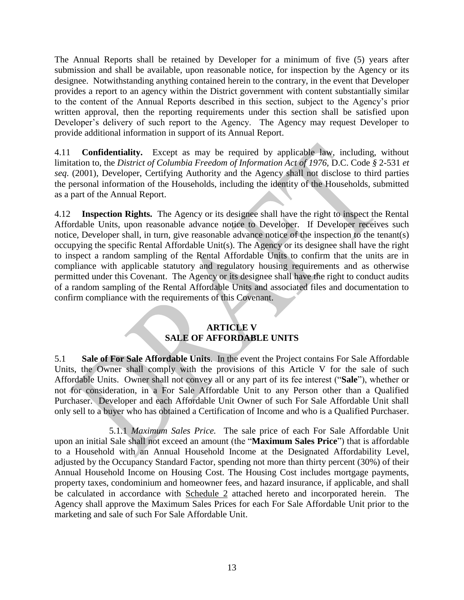The Annual Reports shall be retained by Developer for a minimum of five (5) years after submission and shall be available, upon reasonable notice, for inspection by the Agency or its designee. Notwithstanding anything contained herein to the contrary, in the event that Developer provides a report to an agency within the District government with content substantially similar to the content of the Annual Reports described in this section, subject to the Agency's prior written approval, then the reporting requirements under this section shall be satisfied upon Developer's delivery of such report to the Agency. The Agency may request Developer to provide additional information in support of its Annual Report.

4.11 **Confidentiality.** Except as may be required by applicable law, including, without limitation to, the *District of Columbia Freedom of Information Act of 1976,* D.C. Code *§* 2-531 *et seq*. (2001), Developer, Certifying Authority and the Agency shall not disclose to third parties the personal information of the Households, including the identity of the Households, submitted as a part of the Annual Report.

4.12 **Inspection Rights.** The Agency or its designee shall have the right to inspect the Rental Affordable Units, upon reasonable advance notice to Developer. If Developer receives such notice, Developer shall, in turn, give reasonable advance notice of the inspection to the tenant(s) occupying the specific Rental Affordable Unit(s). The Agency or its designee shall have the right to inspect a random sampling of the Rental Affordable Units to confirm that the units are in compliance with applicable statutory and regulatory housing requirements and as otherwise permitted under this Covenant. The Agency or its designee shall have the right to conduct audits of a random sampling of the Rental Affordable Units and associated files and documentation to confirm compliance with the requirements of this Covenant.

#### **ARTICLE V SALE OF AFFORDABLE UNITS**

5.1 **Sale of For Sale Affordable Units**. In the event the Project contains For Sale Affordable Units, the Owner shall comply with the provisions of this Article V for the sale of such Affordable Units. Owner shall not convey all or any part of its fee interest ("**Sale**"), whether or not for consideration, in a For Sale Affordable Unit to any Person other than a Qualified Purchaser. Developer and each Affordable Unit Owner of such For Sale Affordable Unit shall only sell to a buyer who has obtained a Certification of Income and who is a Qualified Purchaser.

5.1.1 *Maximum Sales Price.* The sale price of each For Sale Affordable Unit upon an initial Sale shall not exceed an amount (the "**Maximum Sales Price**") that is affordable to a Household with an Annual Household Income at the Designated Affordability Level, adjusted by the Occupancy Standard Factor, spending not more than thirty percent (30%) of their Annual Household Income on Housing Cost. The Housing Cost includes mortgage payments, property taxes, condominium and homeowner fees, and hazard insurance, if applicable, and shall be calculated in accordance with Schedule 2 attached hereto and incorporated herein. The Agency shall approve the Maximum Sales Prices for each For Sale Affordable Unit prior to the marketing and sale of such For Sale Affordable Unit.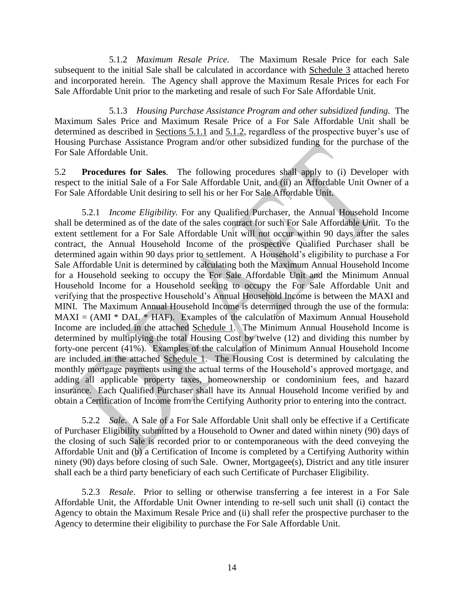5.1.2 *Maximum Resale Price*. The Maximum Resale Price for each Sale subsequent to the initial Sale shall be calculated in accordance with Schedule 3 attached hereto and incorporated herein. The Agency shall approve the Maximum Resale Prices for each For Sale Affordable Unit prior to the marketing and resale of such For Sale Affordable Unit.

5.1.3 *Housing Purchase Assistance Program and other subsidized funding.* The Maximum Sales Price and Maximum Resale Price of a For Sale Affordable Unit shall be determined as described in Sections 5.1.1 and 5.1.2, regardless of the prospective buyer's use of Housing Purchase Assistance Program and/or other subsidized funding for the purchase of the For Sale Affordable Unit.

5.2 **Procedures for Sales**. The following procedures shall apply to (i) Developer with respect to the initial Sale of a For Sale Affordable Unit, and (ii) an Affordable Unit Owner of a For Sale Affordable Unit desiring to sell his or her For Sale Affordable Unit.

5.2.1 *Income Eligibility.* For any Qualified Purchaser, the Annual Household Income shall be determined as of the date of the sales contract for such For Sale Affordable Unit. To the extent settlement for a For Sale Affordable Unit will not occur within 90 days after the sales contract, the Annual Household Income of the prospective Qualified Purchaser shall be determined again within 90 days prior to settlement. A Household's eligibility to purchase a For Sale Affordable Unit is determined by calculating both the Maximum Annual Household Income for a Household seeking to occupy the For Sale Affordable Unit and the Minimum Annual Household Income for a Household seeking to occupy the For Sale Affordable Unit and verifying that the prospective Household's Annual Household Income is between the MAXI and MINI. The Maximum Annual Household Income is determined through the use of the formula:  $MAXI = (AMI * DAL * HAF)$ . Examples of the calculation of Maximum Annual Household Income are included in the attached Schedule 1.The Minimum Annual Household Income is determined by multiplying the total Housing Cost by twelve (12) and dividing this number by forty-one percent (41%). Examples of the calculation of Minimum Annual Household Income are included in the attached Schedule 1. The Housing Cost is determined by calculating the monthly mortgage payments using the actual terms of the Household's approved mortgage, and adding all applicable property taxes, homeownership or condominium fees, and hazard insurance. Each Qualified Purchaser shall have its Annual Household Income verified by and obtain a Certification of Income from the Certifying Authority prior to entering into the contract.

5.2.2 *Sale*. A Sale of a For Sale Affordable Unit shall only be effective if a Certificate of Purchaser Eligibility submitted by a Household to Owner and dated within ninety (90) days of the closing of such Sale is recorded prior to or contemporaneous with the deed conveying the Affordable Unit and (b) a Certification of Income is completed by a Certifying Authority within ninety (90) days before closing of such Sale. Owner, Mortgagee(s), District and any title insurer shall each be a third party beneficiary of each such Certificate of Purchaser Eligibility.

5.2.3 *Resale*. Prior to selling or otherwise transferring a fee interest in a For Sale Affordable Unit, the Affordable Unit Owner intending to re-sell such unit shall (i) contact the Agency to obtain the Maximum Resale Price and (ii) shall refer the prospective purchaser to the Agency to determine their eligibility to purchase the For Sale Affordable Unit.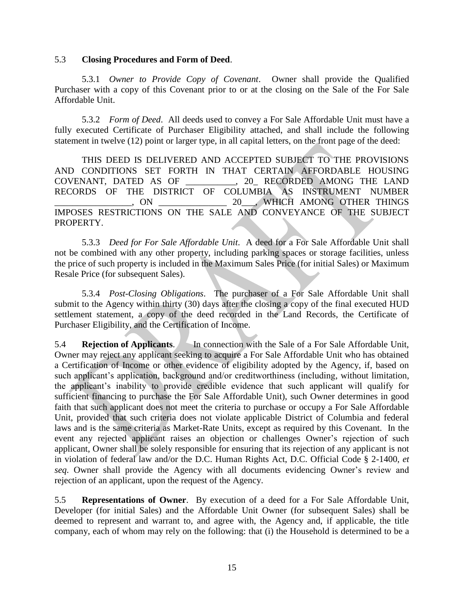#### 5.3 **Closing Procedures and Form of Deed**.

5.3.1 *Owner to Provide Copy of Covenant*. Owner shall provide the Qualified Purchaser with a copy of this Covenant prior to or at the closing on the Sale of the For Sale Affordable Unit.

5.3.2 *Form of Deed*. All deeds used to convey a For Sale Affordable Unit must have a fully executed Certificate of Purchaser Eligibility attached, and shall include the following statement in twelve (12) point or larger type, in all capital letters, on the front page of the deed:

THIS DEED IS DELIVERED AND ACCEPTED SUBJECT TO THE PROVISIONS AND CONDITIONS SET FORTH IN THAT CERTAIN AFFORDABLE HOUSING COVENANT, DATED AS OF \_\_\_\_\_\_\_\_\_\_\_, 20\_ RECORDED AMONG THE LAND RECORDS OF THE DISTRICT OF COLUMBIA AS INSTRUMENT NUMBER \_\_\_\_\_\_\_\_\_\_\_\_\_\_\_\_\_, ON \_\_\_\_\_\_\_\_\_\_\_\_\_\_\_ 20\_\_\_, WHICH AMONG OTHER THINGS IMPOSES RESTRICTIONS ON THE SALE AND CONVEYANCE OF THE SUBJECT PROPERTY.

5.3.3 *Deed for For Sale Affordable Unit*. A deed for a For Sale Affordable Unit shall not be combined with any other property, including parking spaces or storage facilities, unless the price of such property is included in the Maximum Sales Price (for initial Sales) or Maximum Resale Price (for subsequent Sales).

5.3.4 *Post-Closing Obligations*. The purchaser of a For Sale Affordable Unit shall submit to the Agency within thirty (30) days after the closing a copy of the final executed HUD settlement statement, a copy of the deed recorded in the Land Records, the Certificate of Purchaser Eligibility, and the Certification of Income.

5.4 **Rejection of Applicants**. In connection with the Sale of a For Sale Affordable Unit, Owner may reject any applicant seeking to acquire a For Sale Affordable Unit who has obtained a Certification of Income or other evidence of eligibility adopted by the Agency, if, based on such applicant's application, background and/or creditworthiness (including, without limitation, the applicant's inability to provide credible evidence that such applicant will qualify for sufficient financing to purchase the For Sale Affordable Unit), such Owner determines in good faith that such applicant does not meet the criteria to purchase or occupy a For Sale Affordable Unit, provided that such criteria does not violate applicable District of Columbia and federal laws and is the same criteria as Market-Rate Units, except as required by this Covenant. In the event any rejected applicant raises an objection or challenges Owner's rejection of such applicant, Owner shall be solely responsible for ensuring that its rejection of any applicant is not in violation of federal law and/or the D.C. Human Rights Act, D.C. Official Code § 2-1400, *et seq*. Owner shall provide the Agency with all documents evidencing Owner's review and rejection of an applicant, upon the request of the Agency.

5.5 **Representations of Owner**. By execution of a deed for a For Sale Affordable Unit, Developer (for initial Sales) and the Affordable Unit Owner (for subsequent Sales) shall be deemed to represent and warrant to, and agree with, the Agency and, if applicable, the title company, each of whom may rely on the following: that (i) the Household is determined to be a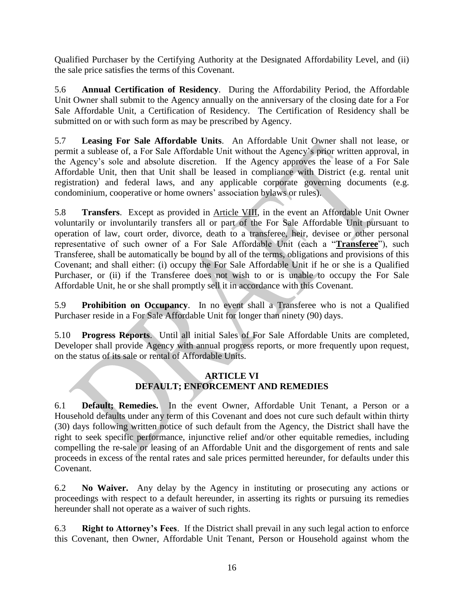Qualified Purchaser by the Certifying Authority at the Designated Affordability Level, and (ii) the sale price satisfies the terms of this Covenant.

5.6 **Annual Certification of Residency**. During the Affordability Period, the Affordable Unit Owner shall submit to the Agency annually on the anniversary of the closing date for a For Sale Affordable Unit, a Certification of Residency. The Certification of Residency shall be submitted on or with such form as may be prescribed by Agency.

5.7 **Leasing For Sale Affordable Units**. An Affordable Unit Owner shall not lease, or permit a sublease of, a For Sale Affordable Unit without the Agency's prior written approval, in the Agency's sole and absolute discretion. If the Agency approves the lease of a For Sale Affordable Unit, then that Unit shall be leased in compliance with District (e.g. rental unit registration) and federal laws, and any applicable corporate governing documents (e.g. condominium, cooperative or home owners' association bylaws or rules).

5.8 **Transfers**. Except as provided in Article VIII, in the event an Affordable Unit Owner voluntarily or involuntarily transfers all or part of the For Sale Affordable Unit pursuant to operation of law, court order, divorce, death to a transferee, heir, devisee or other personal representative of such owner of a For Sale Affordable Unit (each a "**Transferee**"), such Transferee, shall be automatically be bound by all of the terms, obligations and provisions of this Covenant; and shall either: (i) occupy the For Sale Affordable Unit if he or she is a Qualified Purchaser, or (ii) if the Transferee does not wish to or is unable to occupy the For Sale Affordable Unit, he or she shall promptly sell it in accordance with this Covenant.

5.9 **Prohibition on Occupancy**. In no event shall a Transferee who is not a Qualified Purchaser reside in a For Sale Affordable Unit for longer than ninety (90) days.

5.10 **Progress Reports**. Until all initial Sales of For Sale Affordable Units are completed, Developer shall provide Agency with annual progress reports, or more frequently upon request, on the status of its sale or rental of Affordable Units.

## **ARTICLE VI DEFAULT; ENFORCEMENT AND REMEDIES**

6.1 **Default; Remedies.** In the event Owner, Affordable Unit Tenant, a Person or a Household defaults under any term of this Covenant and does not cure such default within thirty (30) days following written notice of such default from the Agency, the District shall have the right to seek specific performance, injunctive relief and/or other equitable remedies, including compelling the re-sale or leasing of an Affordable Unit and the disgorgement of rents and sale proceeds in excess of the rental rates and sale prices permitted hereunder, for defaults under this Covenant.

6.2 **No Waiver.** Any delay by the Agency in instituting or prosecuting any actions or proceedings with respect to a default hereunder, in asserting its rights or pursuing its remedies hereunder shall not operate as a waiver of such rights.

6.3 **Right to Attorney's Fees**. If the District shall prevail in any such legal action to enforce this Covenant, then Owner, Affordable Unit Tenant, Person or Household against whom the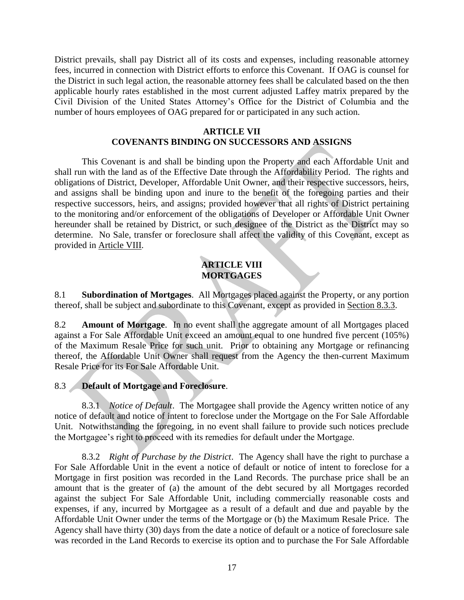District prevails, shall pay District all of its costs and expenses, including reasonable attorney fees, incurred in connection with District efforts to enforce this Covenant. If OAG is counsel for the District in such legal action, the reasonable attorney fees shall be calculated based on the then applicable hourly rates established in the most current adjusted Laffey matrix prepared by the Civil Division of the United States Attorney's Office for the District of Columbia and the number of hours employees of OAG prepared for or participated in any such action.

#### **ARTICLE VII COVENANTS BINDING ON SUCCESSORS AND ASSIGNS**

This Covenant is and shall be binding upon the Property and each Affordable Unit and shall run with the land as of the Effective Date through the Affordability Period. The rights and obligations of District, Developer, Affordable Unit Owner, and their respective successors, heirs, and assigns shall be binding upon and inure to the benefit of the foregoing parties and their respective successors, heirs, and assigns; provided however that all rights of District pertaining to the monitoring and/or enforcement of the obligations of Developer or Affordable Unit Owner hereunder shall be retained by District, or such designee of the District as the District may so determine. No Sale, transfer or foreclosure shall affect the validity of this Covenant, except as provided in Article VIII.

# **ARTICLE VIII MORTGAGES**

8.1 **Subordination of Mortgages**. All Mortgages placed against the Property, or any portion thereof, shall be subject and subordinate to this Covenant, except as provided in Section 8.3.3.

8.2 **Amount of Mortgage**. In no event shall the aggregate amount of all Mortgages placed against a For Sale Affordable Unit exceed an amount equal to one hundred five percent (105%) of the Maximum Resale Price for such unit. Prior to obtaining any Mortgage or refinancing thereof, the Affordable Unit Owner shall request from the Agency the then-current Maximum Resale Price for its For Sale Affordable Unit.

## 8.3 **Default of Mortgage and Foreclosure**.

8.3.1 *Notice of Default*. The Mortgagee shall provide the Agency written notice of any notice of default and notice of intent to foreclose under the Mortgage on the For Sale Affordable Unit. Notwithstanding the foregoing, in no event shall failure to provide such notices preclude the Mortgagee's right to proceed with its remedies for default under the Mortgage.

8.3.2 *Right of Purchase by the District*. The Agency shall have the right to purchase a For Sale Affordable Unit in the event a notice of default or notice of intent to foreclose for a Mortgage in first position was recorded in the Land Records. The purchase price shall be an amount that is the greater of (a) the amount of the debt secured by all Mortgages recorded against the subject For Sale Affordable Unit, including commercially reasonable costs and expenses, if any, incurred by Mortgagee as a result of a default and due and payable by the Affordable Unit Owner under the terms of the Mortgage or (b) the Maximum Resale Price. The Agency shall have thirty (30) days from the date a notice of default or a notice of foreclosure sale was recorded in the Land Records to exercise its option and to purchase the For Sale Affordable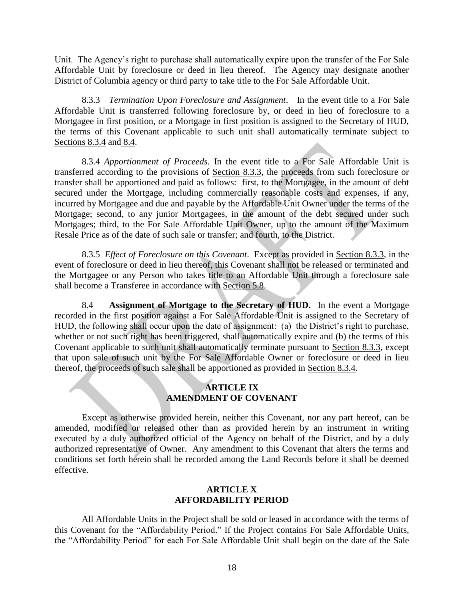Unit. The Agency's right to purchase shall automatically expire upon the transfer of the For Sale Affordable Unit by foreclosure or deed in lieu thereof. The Agency may designate another District of Columbia agency or third party to take title to the For Sale Affordable Unit.

8.3.3 *Termination Upon Foreclosure and Assignment*. In the event title to a For Sale Affordable Unit is transferred following foreclosure by, or deed in lieu of foreclosure to a Mortgagee in first position, or a Mortgage in first position is assigned to the Secretary of HUD, the terms of this Covenant applicable to such unit shall automatically terminate subject to Sections 8.3.4 and 8.4.

8.3.4 *Apportionment of Proceeds.* In the event title to a For Sale Affordable Unit is transferred according to the provisions of Section 8.3.3, the proceeds from such foreclosure or transfer shall be apportioned and paid as follows: first, to the Mortgagee, in the amount of debt secured under the Mortgage, including commercially reasonable costs and expenses, if any, incurred by Mortgagee and due and payable by the Affordable Unit Owner under the terms of the Mortgage; second, to any junior Mortgagees, in the amount of the debt secured under such Mortgages; third, to the For Sale Affordable Unit Owner, up to the amount of the Maximum Resale Price as of the date of such sale or transfer; and fourth, to the District.

8.3.5 *Effect of Foreclosure on this Covenant*. Except as provided in Section 8.3.3, in the event of foreclosure or deed in lieu thereof, this Covenant shall not be released or terminated and the Mortgagee or any Person who takes title to an Affordable Unit through a foreclosure sale shall become a Transferee in accordance with Section 5.8.

8.4 **Assignment of Mortgage to the Secretary of HUD.** In the event a Mortgage recorded in the first position against a For Sale Affordable Unit is assigned to the Secretary of HUD, the following shall occur upon the date of assignment: (a) the District's right to purchase, whether or not such right has been triggered, shall automatically expire and (b) the terms of this Covenant applicable to such unit shall automatically terminate pursuant to Section 8.3.3, except that upon sale of such unit by the For Sale Affordable Owner or foreclosure or deed in lieu thereof, the proceeds of such sale shall be apportioned as provided in Section 8.3.4.

#### **ARTICLE IX AMENDMENT OF COVENANT**

Except as otherwise provided herein, neither this Covenant, nor any part hereof, can be amended, modified or released other than as provided herein by an instrument in writing executed by a duly authorized official of the Agency on behalf of the District, and by a duly authorized representative of Owner. Any amendment to this Covenant that alters the terms and conditions set forth herein shall be recorded among the Land Records before it shall be deemed effective.

#### **ARTICLE X AFFORDABILITY PERIOD**

All Affordable Units in the Project shall be sold or leased in accordance with the terms of this Covenant for the "Affordability Period." If the Project contains For Sale Affordable Units, the "Affordability Period" for each For Sale Affordable Unit shall begin on the date of the Sale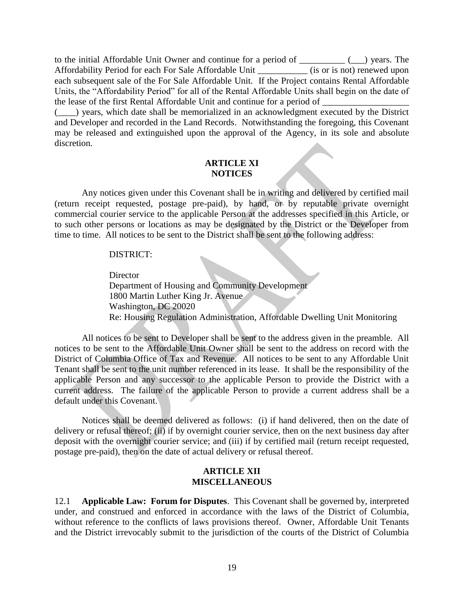to the initial Affordable Unit Owner and continue for a period of  $\qquad \qquad$  ( $\qquad$ ) years. The Affordability Period for each For Sale Affordable Unit (is or is not) renewed upon each subsequent sale of the For Sale Affordable Unit. If the Project contains Rental Affordable Units, the "Affordability Period" for all of the Rental Affordable Units shall begin on the date of the lease of the first Rental Affordable Unit and continue for a period of

(\_\_\_\_) years, which date shall be memorialized in an acknowledgment executed by the District and Developer and recorded in the Land Records. Notwithstanding the foregoing, this Covenant may be released and extinguished upon the approval of the Agency, in its sole and absolute discretion.

## **ARTICLE XI NOTICES**

Any notices given under this Covenant shall be in writing and delivered by certified mail (return receipt requested, postage pre-paid), by hand, or by reputable private overnight commercial courier service to the applicable Person at the addresses specified in this Article, or to such other persons or locations as may be designated by the District or the Developer from time to time. All notices to be sent to the District shall be sent to the following address:

#### DISTRICT:

**Director** Department of Housing and Community Development 1800 Martin Luther King Jr. Avenue Washington, DC 20020 Re: Housing Regulation Administration, Affordable Dwelling Unit Monitoring

All notices to be sent to Developer shall be sent to the address given in the preamble. All notices to be sent to the Affordable Unit Owner shall be sent to the address on record with the District of Columbia Office of Tax and Revenue. All notices to be sent to any Affordable Unit Tenant shall be sent to the unit number referenced in its lease. It shall be the responsibility of the applicable Person and any successor to the applicable Person to provide the District with a current address. The failure of the applicable Person to provide a current address shall be a default under this Covenant.

Notices shall be deemed delivered as follows: (i) if hand delivered, then on the date of delivery or refusal thereof; (ii) if by overnight courier service, then on the next business day after deposit with the overnight courier service; and (iii) if by certified mail (return receipt requested, postage pre-paid), then on the date of actual delivery or refusal thereof.

#### **ARTICLE XII MISCELLANEOUS**

12.1 **Applicable Law: Forum for Disputes**. This Covenant shall be governed by, interpreted under, and construed and enforced in accordance with the laws of the District of Columbia, without reference to the conflicts of laws provisions thereof. Owner, Affordable Unit Tenants and the District irrevocably submit to the jurisdiction of the courts of the District of Columbia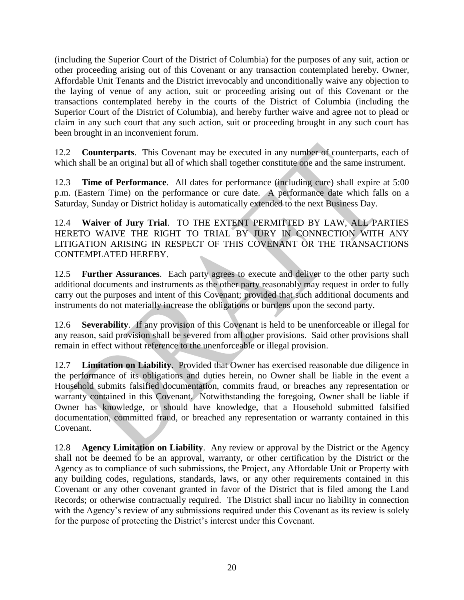(including the Superior Court of the District of Columbia) for the purposes of any suit, action or other proceeding arising out of this Covenant or any transaction contemplated hereby. Owner, Affordable Unit Tenants and the District irrevocably and unconditionally waive any objection to the laying of venue of any action, suit or proceeding arising out of this Covenant or the transactions contemplated hereby in the courts of the District of Columbia (including the Superior Court of the District of Columbia), and hereby further waive and agree not to plead or claim in any such court that any such action, suit or proceeding brought in any such court has been brought in an inconvenient forum.

12.2 **Counterparts**. This Covenant may be executed in any number of counterparts, each of which shall be an original but all of which shall together constitute one and the same instrument.

12.3 **Time of Performance**. All dates for performance (including cure) shall expire at 5:00 p.m. (Eastern Time) on the performance or cure date. A performance date which falls on a Saturday, Sunday or District holiday is automatically extended to the next Business Day.

12.4 **Waiver of Jury Trial**. TO THE EXTENT PERMITTED BY LAW, ALL PARTIES HERETO WAIVE THE RIGHT TO TRIAL BY JURY IN CONNECTION WITH ANY LITIGATION ARISING IN RESPECT OF THIS COVENANT OR THE TRANSACTIONS CONTEMPLATED HEREBY.

12.5 **Further Assurances**. Each party agrees to execute and deliver to the other party such additional documents and instruments as the other party reasonably may request in order to fully carry out the purposes and intent of this Covenant; provided that such additional documents and instruments do not materially increase the obligations or burdens upon the second party.

12.6 **Severability**. If any provision of this Covenant is held to be unenforceable or illegal for any reason, said provision shall be severed from all other provisions. Said other provisions shall remain in effect without reference to the unenforceable or illegal provision.

12.7 **Limitation on Liability**. Provided that Owner has exercised reasonable due diligence in the performance of its obligations and duties herein, no Owner shall be liable in the event a Household submits falsified documentation, commits fraud, or breaches any representation or warranty contained in this Covenant. Notwithstanding the foregoing, Owner shall be liable if Owner has knowledge, or should have knowledge, that a Household submitted falsified documentation, committed fraud, or breached any representation or warranty contained in this Covenant.

12.8 **Agency Limitation on Liability**.Any review or approval by the District or the Agency shall not be deemed to be an approval, warranty, or other certification by the District or the Agency as to compliance of such submissions, the Project, any Affordable Unit or Property with any building codes, regulations, standards, laws, or any other requirements contained in this Covenant or any other covenant granted in favor of the District that is filed among the Land Records; or otherwise contractually required. The District shall incur no liability in connection with the Agency's review of any submissions required under this Covenant as its review is solely for the purpose of protecting the District's interest under this Covenant.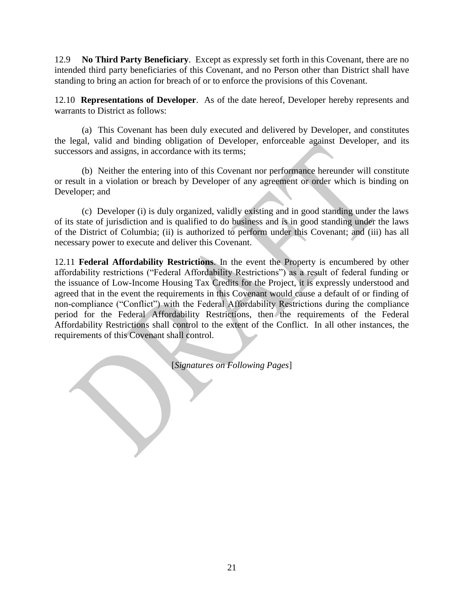12.9 **No Third Party Beneficiary**.Except as expressly set forth in this Covenant, there are no intended third party beneficiaries of this Covenant, and no Person other than District shall have standing to bring an action for breach of or to enforce the provisions of this Covenant.

12.10 **Representations of Developer**. As of the date hereof, Developer hereby represents and warrants to District as follows:

(a) This Covenant has been duly executed and delivered by Developer, and constitutes the legal, valid and binding obligation of Developer, enforceable against Developer, and its successors and assigns, in accordance with its terms;

(b) Neither the entering into of this Covenant nor performance hereunder will constitute or result in a violation or breach by Developer of any agreement or order which is binding on Developer; and

(c) Developer (i) is duly organized, validly existing and in good standing under the laws of its state of jurisdiction and is qualified to do business and is in good standing under the laws of the District of Columbia; (ii) is authorized to perform under this Covenant; and (iii) has all necessary power to execute and deliver this Covenant.

12.11 **Federal Affordability Restrictions**. In the event the Property is encumbered by other affordability restrictions ("Federal Affordability Restrictions") as a result of federal funding or the issuance of Low-Income Housing Tax Credits for the Project, it is expressly understood and agreed that in the event the requirements in this Covenant would cause a default of or finding of non-compliance ("Conflict") with the Federal Affordability Restrictions during the compliance period for the Federal Affordability Restrictions, then the requirements of the Federal Affordability Restrictions shall control to the extent of the Conflict. In all other instances, the requirements of this Covenant shall control.

[*Signatures on Following Pages*]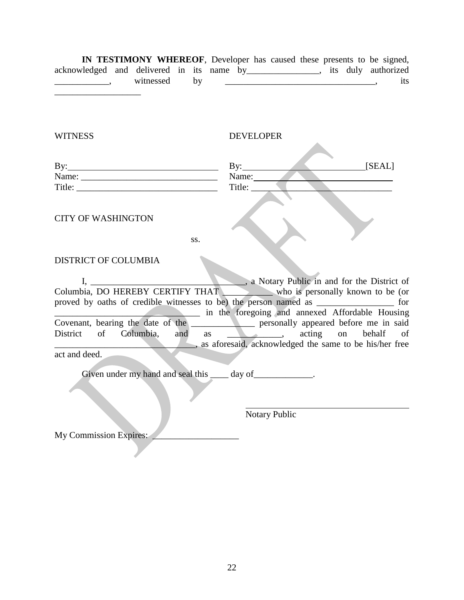| IN TESTIMONY WHEREOF, Developer has caused these presents to be signed,         |           |    |  |  |  |  |     |
|---------------------------------------------------------------------------------|-----------|----|--|--|--|--|-----|
| acknowledged and delivered in its name by ________________, its duly authorized |           |    |  |  |  |  |     |
|                                                                                 | witnessed | bv |  |  |  |  | its |
|                                                                                 |           |    |  |  |  |  |     |
|                                                                                 |           |    |  |  |  |  |     |
|                                                                                 |           |    |  |  |  |  |     |
|                                                                                 |           |    |  |  |  |  |     |

| By:                       | [SEAL]<br>Bv: |  |
|---------------------------|---------------|--|
| Name:                     | Name:         |  |
| Title:                    | Title:        |  |
|                           |               |  |
| <b>CITY OF WASHINGTON</b> |               |  |

ss.

WITNESS DEVELOPER

#### DISTRICT OF COLUMBIA

I, \_\_\_\_\_\_\_\_\_\_\_\_\_\_\_\_\_\_\_\_\_\_\_\_\_\_\_\_\_, a Notary Public in and for the District of bia, DO HEREBY CERTIFY THAT Columbia, DO HEREBY CERTIFY THAT proved by oaths of credible witnesses to be) the person named as \_\_\_\_\_\_\_\_\_\_\_\_\_\_\_\_\_ for \_\_\_\_\_\_\_\_\_\_\_\_\_\_\_\_\_\_\_\_\_\_\_\_\_\_\_\_\_\_\_\_ in the foregoing and annexed Affordable Housing Covenant, bearing the date of the \_\_\_\_\_\_\_\_\_\_\_\_\_\_ personally appeared before me in said District of Columbia, and as \_\_\_\_\_\_\_, acting on behalf of \_\_\_\_\_\_\_\_\_\_\_\_\_\_\_\_\_\_\_\_\_\_\_\_\_\_\_\_\_\_\_, as aforesaid, acknowledged the same to be his/her free

act and deed.

Given under my hand and seal this \_\_\_\_ day of\_\_\_\_\_\_\_\_\_\_\_\_\_.

Notary Public

My Commission Expires: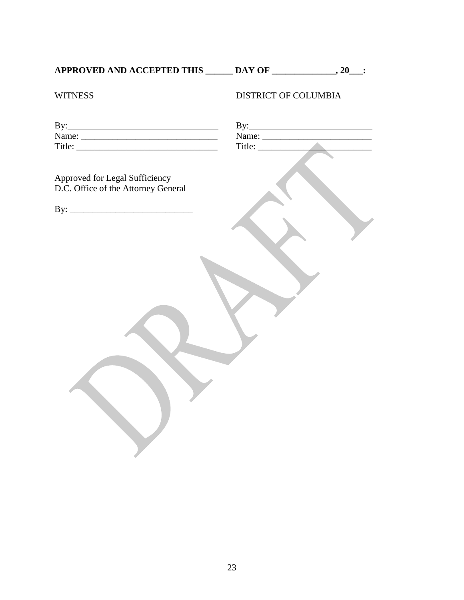**APPROVED AND ACCEPTED THIS \_\_\_\_\_\_ DAY OF \_\_\_\_\_\_\_\_\_\_\_\_\_\_, 20\_\_\_:**

| AY OF |  |
|-------|--|
|       |  |

# WITNESS DISTRICT OF COLUMBIA

| Approved for Legal Sufficiency<br>D.C. Office of the Attorney General |  |
|-----------------------------------------------------------------------|--|
|                                                                       |  |
|                                                                       |  |
|                                                                       |  |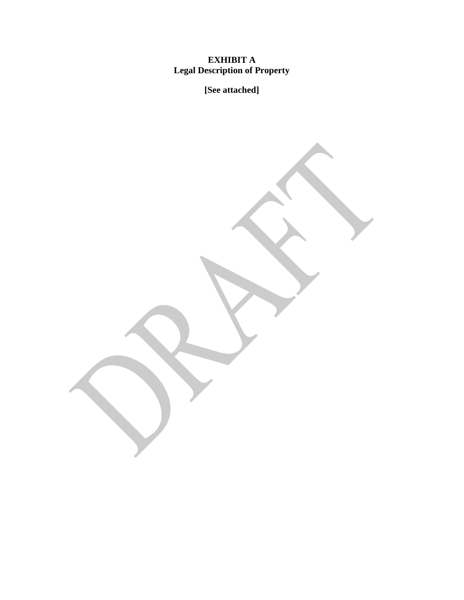#### **EXHIBIT A Legal Description of Property**

**[See attached]**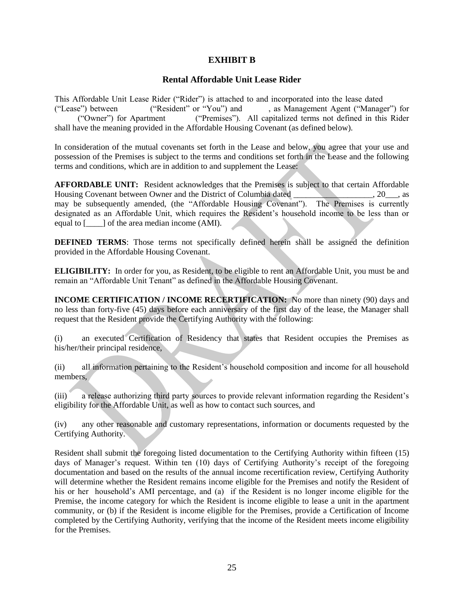#### **EXHIBIT B**

#### **Rental Affordable Unit Lease Rider**

This Affordable Unit Lease Rider ("Rider") is attached to and incorporated into the lease dated ("Lease") between ("Resident" or "You") and , as Management Agent ("Manager") for ("Owner") for Apartment ("Premises"). All capitalized terms not defined in this Rider shall have the meaning provided in the Affordable Housing Covenant (as defined below).

In consideration of the mutual covenants set forth in the Lease and below, you agree that your use and possession of the Premises is subject to the terms and conditions set forth in the Lease and the following terms and conditions, which are in addition to and supplement the Lease:

**AFFORDABLE UNIT:** Resident acknowledges that the Premises is subject to that certain Affordable Housing Covenant between Owner and the District of Columbia dated  $\qquad \qquad$ , 20  $\qquad$ , as may be subsequently amended, (the "Affordable Housing Covenant"). The Premises is currently designated as an Affordable Unit, which requires the Resident's household income to be less than or equal to [\_\_\_\_] of the area median income (AMI).

**DEFINED TERMS:** Those terms not specifically defined herein shall be assigned the definition provided in the Affordable Housing Covenant.

**ELIGIBILITY:** In order for you, as Resident, to be eligible to rent an Affordable Unit, you must be and remain an "Affordable Unit Tenant" as defined in the Affordable Housing Covenant.

**INCOME CERTIFICATION / INCOME RECERTIFICATION:** No more than ninety (90) days and no less than forty-five (45) days before each anniversary of the first day of the lease, the Manager shall request that the Resident provide the Certifying Authority with the following:

(i) an executed Certification of Residency that states that Resident occupies the Premises as his/her/their principal residence,

(ii) all information pertaining to the Resident's household composition and income for all household members,

(iii) a release authorizing third party sources to provide relevant information regarding the Resident's eligibility for the Affordable Unit, as well as how to contact such sources, and

(iv) any other reasonable and customary representations, information or documents requested by the Certifying Authority.

Resident shall submit the foregoing listed documentation to the Certifying Authority within fifteen (15) days of Manager's request. Within ten (10) days of Certifying Authority's receipt of the foregoing documentation and based on the results of the annual income recertification review, Certifying Authority will determine whether the Resident remains income eligible for the Premises and notify the Resident of his or her household's AMI percentage, and (a) if the Resident is no longer income eligible for the Premise, the income category for which the Resident is income eligible to lease a unit in the apartment community, or (b) if the Resident is income eligible for the Premises, provide a Certification of Income completed by the Certifying Authority, verifying that the income of the Resident meets income eligibility for the Premises.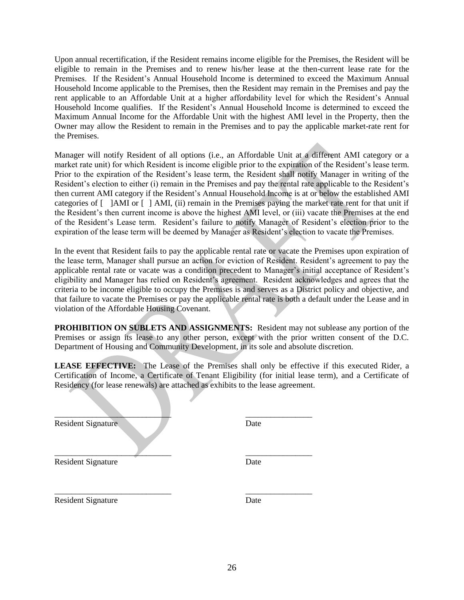Upon annual recertification, if the Resident remains income eligible for the Premises, the Resident will be eligible to remain in the Premises and to renew his/her lease at the then-current lease rate for the Premises. If the Resident's Annual Household Income is determined to exceed the Maximum Annual Household Income applicable to the Premises, then the Resident may remain in the Premises and pay the rent applicable to an Affordable Unit at a higher affordability level for which the Resident's Annual Household Income qualifies. If the Resident's Annual Household Income is determined to exceed the Maximum Annual Income for the Affordable Unit with the highest AMI level in the Property, then the Owner may allow the Resident to remain in the Premises and to pay the applicable market-rate rent for the Premises.

Manager will notify Resident of all options (i.e., an Affordable Unit at a different AMI category or a market rate unit) for which Resident is income eligible prior to the expiration of the Resident's lease term. Prior to the expiration of the Resident's lease term, the Resident shall notify Manager in writing of the Resident's election to either (i) remain in the Premises and pay the rental rate applicable to the Resident's then current AMI category if the Resident's Annual Household Income is at or below the established AMI categories of [ ]AMI or [ ] AMI, (ii) remain in the Premises paying the market rate rent for that unit if the Resident's then current income is above the highest AMI level, or (iii) vacate the Premises at the end of the Resident's Lease term. Resident's failure to notify Manager of Resident's election prior to the expiration of the lease term will be deemed by Manager as Resident's election to vacate the Premises.

In the event that Resident fails to pay the applicable rental rate or vacate the Premises upon expiration of the lease term, Manager shall pursue an action for eviction of Resident. Resident's agreement to pay the applicable rental rate or vacate was a condition precedent to Manager's initial acceptance of Resident's eligibility and Manager has relied on Resident's agreement. Resident acknowledges and agrees that the criteria to be income eligible to occupy the Premises is and serves as a District policy and objective, and that failure to vacate the Premises or pay the applicable rental rate is both a default under the Lease and in violation of the Affordable Housing Covenant.

**PROHIBITION ON SUBLETS AND ASSIGNMENTS:** Resident may not sublease any portion of the Premises or assign its lease to any other person, except with the prior written consent of the D.C. Department of Housing and Community Development, in its sole and absolute discretion.

**LEASE EFFECTIVE:** The Lease of the Premises shall only be effective if this executed Rider, a Certification of Income, a Certificate of Tenant Eligibility (for initial lease term), and a Certificate of Residency (for lease renewals) are attached as exhibits to the lease agreement.

 $\qquad \qquad \blacksquare$ 

 $\overline{\phantom{a}}$  , and the contract of the contract of the contract of the contract of the contract of the contract of the contract of the contract of the contract of the contract of the contract of the contract of the contrac

Resident Signature Date

Resident Signature Date

Resident Signature Date

\_\_\_\_\_\_\_\_\_\_\_\_\_\_\_\_\_\_\_\_\_\_\_\_\_\_\_\_ \_\_\_\_\_\_\_\_\_\_\_\_\_\_\_\_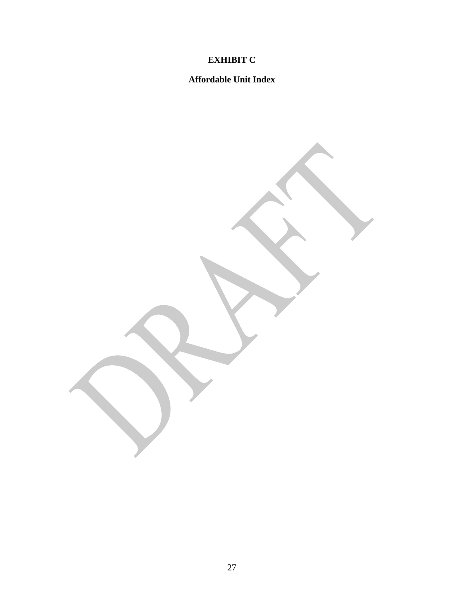# **EXHIBIT C**

## **Affordable Unit Index**

27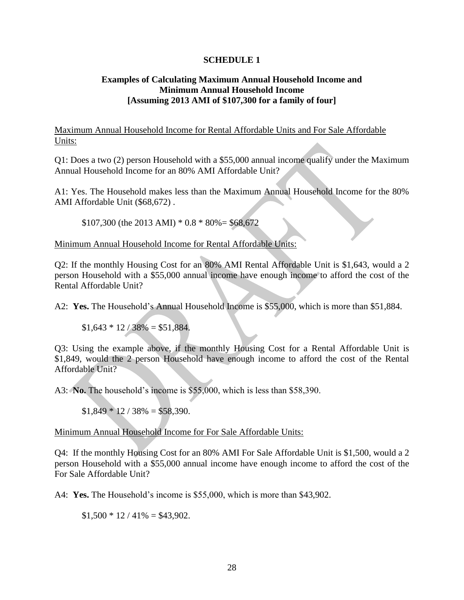#### **SCHEDULE 1**

#### **Examples of Calculating Maximum Annual Household Income and Minimum Annual Household Income [Assuming 2013 AMI of \$107,300 for a family of four]**

Maximum Annual Household Income for Rental Affordable Units and For Sale Affordable Units:

Q1: Does a two (2) person Household with a \$55,000 annual income qualify under the Maximum Annual Household Income for an 80% AMI Affordable Unit?

A1: Yes. The Household makes less than the Maximum Annual Household Income for the 80% AMI Affordable Unit (\$68,672) .

 $$107,300$  (the 2013 AMI)  $*$  0.8  $*$  80% = \$68,672

Minimum Annual Household Income for Rental Affordable Units:

Q2: If the monthly Housing Cost for an 80% AMI Rental Affordable Unit is \$1,643, would a 2 person Household with a \$55,000 annual income have enough income to afford the cost of the Rental Affordable Unit?

A2: **Yes.** The Household's Annual Household Income is \$55,000, which is more than \$51,884.

 $$1,643 * 12 / 38\% = $51,884$ .

Q3: Using the example above, if the monthly Housing Cost for a Rental Affordable Unit is \$1,849, would the 2 person Household have enough income to afford the cost of the Rental Affordable Unit?

A3: **No.** The household's income is \$55,000, which is less than \$58,390.

 $$1,849 * 12 / 38\% = $58,390.$ 

Minimum Annual Household Income for For Sale Affordable Units:

Q4: If the monthly Housing Cost for an 80% AMI For Sale Affordable Unit is \$1,500, would a 2 person Household with a \$55,000 annual income have enough income to afford the cost of the For Sale Affordable Unit?

A4: **Yes.** The Household's income is \$55,000, which is more than \$43,902.

 $$1,500 * 12 / 41\% = $43,902.$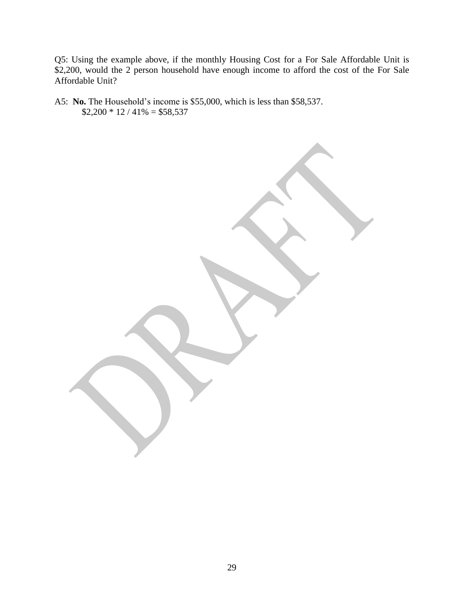Q5: Using the example above, if the monthly Housing Cost for a For Sale Affordable Unit is \$2,200, would the 2 person household have enough income to afford the cost of the For Sale Affordable Unit?

A5: **No.** The Household's income is \$55,000, which is less than \$58,537.  $$2,200 * 12 / 41\% = $58,537$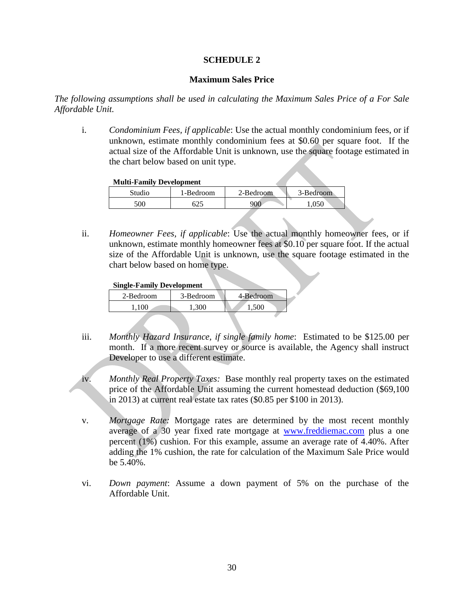#### **SCHEDULE 2**

#### **Maximum Sales Price**

*The following assumptions shall be used in calculating the Maximum Sales Price of a For Sale Affordable Unit.*

i. *Condominium Fees, if applicable*: Use the actual monthly condominium fees, or if unknown, estimate monthly condominium fees at \$0.60 per square foot. If the actual size of the Affordable Unit is unknown, use the square footage estimated in the chart below based on unit type.

#### **Multi-Family Development**

| Studio | 1-Bedroom | 2-Bedroom | 3-Bedroom |
|--------|-----------|-----------|-----------|
| 500    | ن کال     | 900       |           |

ii. *Homeowner Fees, if applicable*: Use the actual monthly homeowner fees, or if unknown, estimate monthly homeowner fees at \$0.10 per square foot. If the actual size of the Affordable Unit is unknown, use the square footage estimated in the chart below based on home type.

#### **Single-Family Development**

| 2-Bedroom | 3-Bedroom | 4-Bedroom |
|-----------|-----------|-----------|
| 1 N N     | 300.      | 500       |

- iii. *Monthly Hazard Insurance, if single family home*: Estimated to be \$125.00 per month. If a more recent survey or source is available, the Agency shall instruct Developer to use a different estimate.
- iv. *Monthly Real Property Taxes:* Base monthly real property taxes on the estimated price of the Affordable Unit assuming the current homestead deduction (\$69,100 in 2013) at current real estate tax rates (\$0.85 per \$100 in 2013).
- v. *Mortgage Rate:* Mortgage rates are determined by the most recent monthly average of a 30 year fixed rate mortgage at [www.freddiemac.com](http://www.freddiemac.com/) plus a one percent (1%) cushion. For this example, assume an average rate of 4.40%. After adding the 1% cushion, the rate for calculation of the Maximum Sale Price would be 5.40%.
- vi. *Down payment*: Assume a down payment of 5% on the purchase of the Affordable Unit.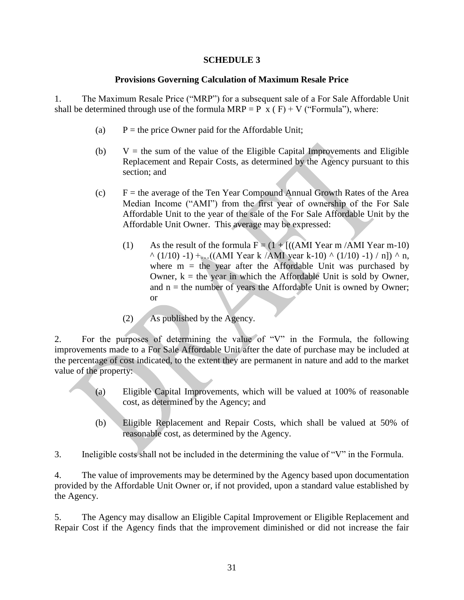#### **SCHEDULE 3**

#### **Provisions Governing Calculation of Maximum Resale Price**

1. The Maximum Resale Price ("MRP") for a subsequent sale of a For Sale Affordable Unit shall be determined through use of the formula MRP = P  $\bar{x}$  (F) + V ("Formula"), where:

- (a)  $P =$  the price Owner paid for the Affordable Unit;
- (b)  $V =$  the sum of the value of the Eligible Capital Improvements and Eligible Replacement and Repair Costs, as determined by the Agency pursuant to this section; and
- $(c)$  F = the average of the Ten Year Compound Annual Growth Rates of the Area Median Income ("AMI") from the first year of ownership of the For Sale Affordable Unit to the year of the sale of the For Sale Affordable Unit by the Affordable Unit Owner. This average may be expressed:
	- (1) As the result of the formula  $F = (1 + [((AMI Year m/AMI Year m-10)$  $\wedge$  (1/10) -1) +…((AMI Year k /AMI year k-10)  $\wedge$  (1/10) -1) / n])  $\wedge$  n, where  $m =$  the year after the Affordable Unit was purchased by Owner,  $k =$  the year in which the Affordable Unit is sold by Owner, and  $n =$  the number of years the Affordable Unit is owned by Owner; or
	- (2) As published by the Agency.

2. For the purposes of determining the value of "V" in the Formula, the following improvements made to a For Sale Affordable Unit after the date of purchase may be included at the percentage of cost indicated, to the extent they are permanent in nature and add to the market value of the property:

- (a) Eligible Capital Improvements, which will be valued at 100% of reasonable cost, as determined by the Agency; and
- (b) Eligible Replacement and Repair Costs, which shall be valued at 50% of reasonable cost, as determined by the Agency.

3. Ineligible costs shall not be included in the determining the value of "V" in the Formula.

4. The value of improvements may be determined by the Agency based upon documentation provided by the Affordable Unit Owner or, if not provided, upon a standard value established by the Agency.

5. The Agency may disallow an Eligible Capital Improvement or Eligible Replacement and Repair Cost if the Agency finds that the improvement diminished or did not increase the fair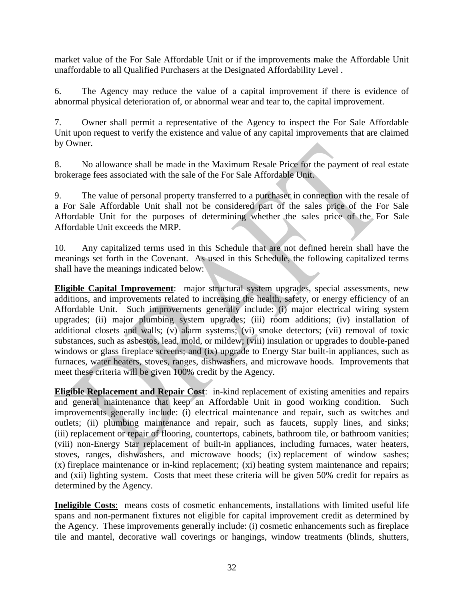market value of the For Sale Affordable Unit or if the improvements make the Affordable Unit unaffordable to all Qualified Purchasers at the Designated Affordability Level .

6. The Agency may reduce the value of a capital improvement if there is evidence of abnormal physical deterioration of, or abnormal wear and tear to, the capital improvement.

7. Owner shall permit a representative of the Agency to inspect the For Sale Affordable Unit upon request to verify the existence and value of any capital improvements that are claimed by Owner.

8. No allowance shall be made in the Maximum Resale Price for the payment of real estate brokerage fees associated with the sale of the For Sale Affordable Unit.

9. The value of personal property transferred to a purchaser in connection with the resale of a For Sale Affordable Unit shall not be considered part of the sales price of the For Sale Affordable Unit for the purposes of determining whether the sales price of the For Sale Affordable Unit exceeds the MRP.

10. Any capitalized terms used in this Schedule that are not defined herein shall have the meanings set forth in the Covenant. As used in this Schedule, the following capitalized terms shall have the meanings indicated below:

**Eligible Capital Improvement**: major structural system upgrades, special assessments, new additions, and improvements related to increasing the health, safety, or energy efficiency of an Affordable Unit. Such improvements generally include: (i) major electrical wiring system upgrades; (ii) major plumbing system upgrades; (iii) room additions; (iv) installation of additional closets and walls; (v) alarm systems; (vi) smoke detectors; (vii) removal of toxic substances, such as asbestos, lead, mold, or mildew; (viii) insulation or upgrades to double-paned windows or glass fireplace screens; and (ix) upgrade to Energy Star built-in appliances, such as furnaces, water heaters, stoves, ranges, dishwashers, and microwave hoods. Improvements that meet these criteria will be given 100% credit by the Agency.

**Eligible Replacement and Repair Cost**: in-kind replacement of existing amenities and repairs and general maintenance that keep an Affordable Unit in good working condition. Such improvements generally include: (i) electrical maintenance and repair, such as switches and outlets; (ii) plumbing maintenance and repair, such as faucets, supply lines, and sinks; (iii) replacement or repair of flooring, countertops, cabinets, bathroom tile, or bathroom vanities; (viii) non-Energy Star replacement of built-in appliances, including furnaces, water heaters, stoves, ranges, dishwashers, and microwave hoods; (ix) replacement of window sashes; (x) fireplace maintenance or in-kind replacement; (xi) heating system maintenance and repairs; and (xii) lighting system. Costs that meet these criteria will be given 50% credit for repairs as determined by the Agency.

**Ineligible Costs**: means costs of cosmetic enhancements, installations with limited useful life spans and non-permanent fixtures not eligible for capital improvement credit as determined by the Agency. These improvements generally include: (i) cosmetic enhancements such as fireplace tile and mantel, decorative wall coverings or hangings, window treatments (blinds, shutters,